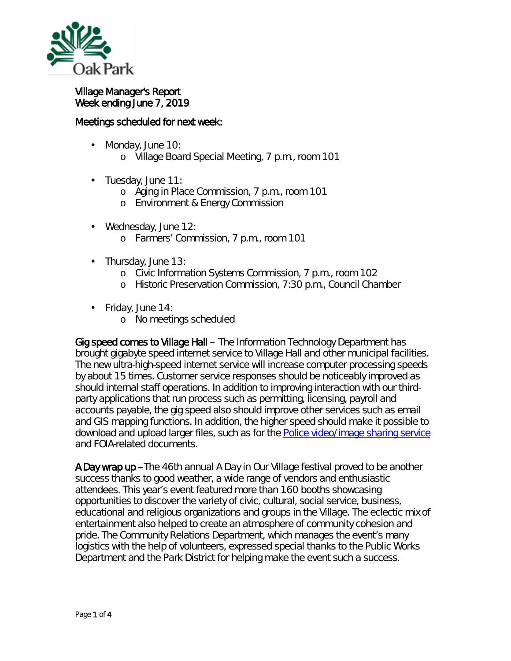

## Village Manager's Report Week ending June 7, 2019

## Meetings scheduled for next week:

- Monday, June 10: ä,
	- o Village Board Special Meeting, 7 p.m., room 101
- ä, Tuesday, June 11:
	- o Aging in Place Commission, 7 p.m., room 101
	- o Environment & Energy Commission
- Wednesday, June 12: ä,
	- o Farmers' Commission, 7 p.m., room 101
- l, Thursday, June 13:
	- o Civic Information Systems Commission, 7 p.m., room 102
	- o Historic Preservation Commission, 7:30 p.m., Council Chamber
- Friday, June 14:
	- o No meetings scheduled

Gig speed comes to Village Hall – The Information Technology Department has brought gigabyte speed internet service to Village Hall and other municipal facilities. The new ultra-high-speed internet service will increase computer processing speeds by about 15 times. Customer service responses should be noticeably improved as should internal staff operations. In addition to improving interaction with our thirdparty applications that run process such as permitting, licensing, payroll and accounts payable, the gig speed also should improve other services such as email and GIS mapping functions. In addition, the higher speed should make it possible to download and upload larger files, such as for the [Police video/image sharing service](https://www.oak-park.us/village-services/police-department/submit-imagesvideo-police-department) and FOIA-related documents.

A Day wrap up –The 46th annual *A Day in Our Village* festival proved to be another success thanks to good weather, a wide range of vendors and enthusiastic attendees. This year's event featured more than 160 booths showcasing opportunities to discover the variety of civic, cultural, social service, business, educational and religious organizations and groups in the Village. The eclectic mix of entertainment also helped to create an atmosphere of community cohesion and pride. The Community Relations Department, which manages the event's many logistics with the help of volunteers, expressed special thanks to the Public Works Department and the Park District for helping make the event such a success.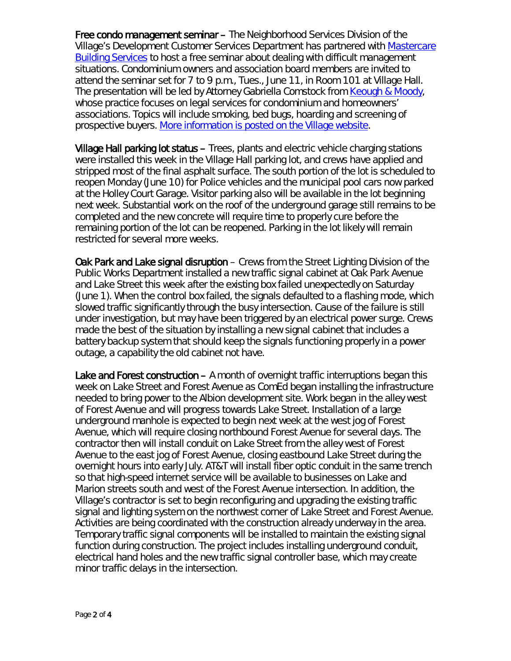Free condo management seminar – The Neighborhood Services Division of the Village's Development Customer Services Department has partnered with [Mastercare](http://mxrelay.oak-park.us:32224/?dmVyPTEuMDAxJiY3YTc5MTBiMDM5YjBjYTM4YT01QjI5MzA2Ql85MzA2MV8yNjQ5XzEmJjY3OTJiZTY1YTZhNWM1Nj0xMjMzJiZ1cmw9aHR0cCUzQSUyRiUyRnIyMCUyRXJzNiUyRW5ldCUyRnRuJTJFanNwJTNGdCUzRDc4ZDl4ZTZhYiUyRTAlMkUwJTJFcWRjbGxtbWFiJTJFMCUyNmlkJTNEcHJldmlldyUyNnIlM0QzJTI2cCUzRGh0dHAlMjUzQSUyNTJGJTI1MkZ3d3clMkVtY2FyZXNlcnZpY2VzJTJFY29tJTI1MkY=)  [Building Services](http://mxrelay.oak-park.us:32224/?dmVyPTEuMDAxJiY3YTc5MTBiMDM5YjBjYTM4YT01QjI5MzA2Ql85MzA2MV8yNjQ5XzEmJjY3OTJiZTY1YTZhNWM1Nj0xMjMzJiZ1cmw9aHR0cCUzQSUyRiUyRnIyMCUyRXJzNiUyRW5ldCUyRnRuJTJFanNwJTNGdCUzRDc4ZDl4ZTZhYiUyRTAlMkUwJTJFcWRjbGxtbWFiJTJFMCUyNmlkJTNEcHJldmlldyUyNnIlM0QzJTI2cCUzRGh0dHAlMjUzQSUyNTJGJTI1MkZ3d3clMkVtY2FyZXNlcnZpY2VzJTJFY29tJTI1MkY=) to host a free seminar about dealing with difficult management situations. Condominium owners and association board members are invited to attend the seminar set for 7 to 9 p.m., Tues., June 11, in Room 101 at Village Hall. The presentation will be led by Attorney Gabriella Comstock from [Keough & Moody,](http://mxrelay.oak-park.us:32224/?dmVyPTEuMDAxJiY3YTc5MTBiMDM5YjBjYTM4YT01QjI5MzA2Ql85MzA2MV8yNjQ5XzEmJjY3OTJiZTY1YTZhNWM1Nj0xMjMzJiZ1cmw9aHR0cCUzQSUyRiUyRnIyMCUyRXJzNiUyRW5ldCUyRnRuJTJFanNwJTNGdCUzRDc4ZDl4ZTZhYiUyRTAlMkUwJTJFcWRjbGxtbWFiJTJFMCUyNmlkJTNEcHJldmlldyUyNnIlM0QzJTI2cCUzRGh0dHAlMjUzQSUyNTJGJTI1MkZrbWxlZ2FsJTJFY29tJTI1MkY=) whose practice focuses on legal services for condominium and homeowners' associations. Topics will include smoking, bed bugs, hoarding and screening of prospective buyers. [More information is posted on the Village website.](https://www.oak-park.us/news/seminar-focus-hot-topics-condo-boards)

Village Hall parking lot status – Trees, plants and electric vehicle charging stations were installed this week in the Village Hall parking lot, and crews have applied and stripped most of the final asphalt surface. The south portion of the lot is scheduled to reopen Monday (June 10) for Police vehicles and the municipal pool cars now parked at the Holley Court Garage. Visitor parking also will be available in the lot beginning next week. Substantial work on the roof of the underground garage still remains to be completed and the new concrete will require time to properly cure before the remaining portion of the lot can be reopened. Parking in the lot likely will remain restricted for several more weeks.

Oak Park and Lake signal disruption – Crews from the Street Lighting Division of the Public Works Department installed a new traffic signal cabinet at Oak Park Avenue and Lake Street this week after the existing box failed unexpectedly on Saturday (June 1). When the control box failed, the signals defaulted to a flashing mode, which slowed traffic significantly through the busy intersection. Cause of the failure is still under investigation, but may have been triggered by an electrical power surge. Crews made the best of the situation by installing a new signal cabinet that includes a battery backup system that should keep the signals functioning properly in a power outage, a capability the old cabinet not have.

Lake and Forest construction – A month of overnight traffic interruptions began this week on Lake Street and Forest Avenue as ComEd began installing the infrastructure needed to bring power to the Albion development site. Work began in the alley west of Forest Avenue and will progress towards Lake Street. Installation of a large underground manhole is expected to begin next week at the west jog of Forest Avenue, which will require closing northbound Forest Avenue for several days. The contractor then will install conduit on Lake Street from the alley west of Forest Avenue to the east jog of Forest Avenue, closing eastbound Lake Street during the overnight hours into early July. AT&T will install fiber optic conduit in the same trench so that high-speed internet service will be available to businesses on Lake and Marion streets south and west of the Forest Avenue intersection. In addition, the Village's contractor is set to begin reconfiguring and upgrading the existing traffic signal and lighting system on the northwest corner of Lake Street and Forest Avenue. Activities are being coordinated with the construction already underway in the area. Temporary traffic signal components will be installed to maintain the existing signal function during construction. The project includes installing underground conduit, electrical hand holes and the new traffic signal controller base, which may create minor traffic delays in the intersection.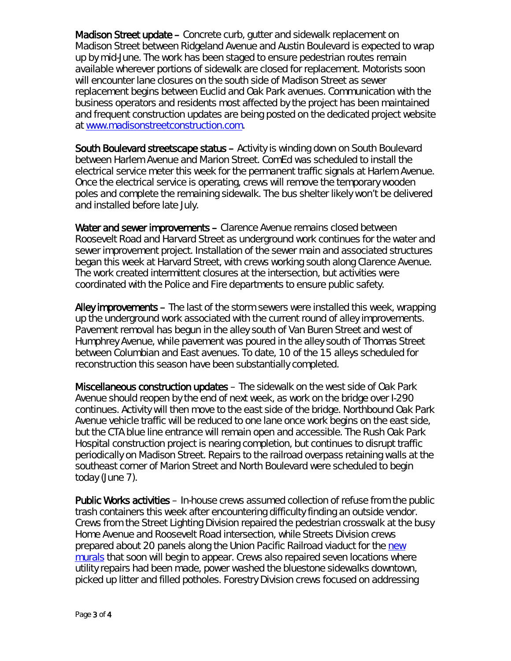Madison Street update – Concrete curb, gutter and sidewalk replacement on Madison Street between Ridgeland Avenue and Austin Boulevard is expected to wrap up by mid-June. The work has been staged to ensure pedestrian routes remain available wherever portions of sidewalk are closed for replacement. Motorists soon will encounter lane closures on the south side of Madison Street as sewer replacement begins between Euclid and Oak Park avenues. Communication with the business operators and residents most affected by the project has been maintained and frequent construction updates are being posted on the dedicated project website at [www.madisonstreetconstruction.com.](http://www.madisonstreetconstruction.com/)

South Boulevard streetscape status – Activity is winding down on South Boulevard between Harlem Avenue and Marion Street. ComEd was scheduled to install the electrical service meter this week for the permanent traffic signals at Harlem Avenue. Once the electrical service is operating, crews will remove the temporary wooden poles and complete the remaining sidewalk. The bus shelter likely won't be delivered and installed before late July.

Water and sewer improvements - Clarence Avenue remains closed between Roosevelt Road and Harvard Street as underground work continues for the water and sewer improvement project. Installation of the sewer main and associated structures began this week at Harvard Street, with crews working south along Clarence Avenue. The work created intermittent closures at the intersection, but activities were coordinated with the Police and Fire departments to ensure public safety.

Alley improvements – The last of the storm sewers were installed this week, wrapping up the underground work associated with the current round of alley improvements. Pavement removal has begun in the alley south of Van Buren Street and west of Humphrey Avenue, while pavement was poured in the alley south of Thomas Street between Columbian and East avenues. To date, 10 of the 15 alleys scheduled for reconstruction this season have been substantially completed.

Miscellaneous construction updates – The sidewalk on the west side of Oak Park Avenue should reopen by the end of next week, as work on the bridge over I-290 continues. Activity will then move to the east side of the bridge. Northbound Oak Park Avenue vehicle traffic will be reduced to one lane once work begins on the east side, but the CTA blue line entrance will remain open and accessible. The Rush Oak Park Hospital construction project is nearing completion, but continues to disrupt traffic periodically on Madison Street. Repairs to the railroad overpass retaining walls at the southeast corner of Marion Street and North Boulevard were scheduled to begin today (June 7).

Public Works activities – In-house crews assumed collection of refuse from the public trash containers this week after encountering difficulty finding an outside vendor. Crews from the Street Lighting Division repaired the pedestrian crosswalk at the busy Home Avenue and Roosevelt Road intersection, while Streets Division crews prepared about 20 panels along the Union Pacific Railroad viaduct for the new [murals](https://www.oak-park.us/news/artists-sought-mini-mural-project-0) that soon will begin to appear. Crews also repaired seven locations where utility repairs had been made, power washed the bluestone sidewalks downtown, picked up litter and filled potholes. Forestry Division crews focused on addressing